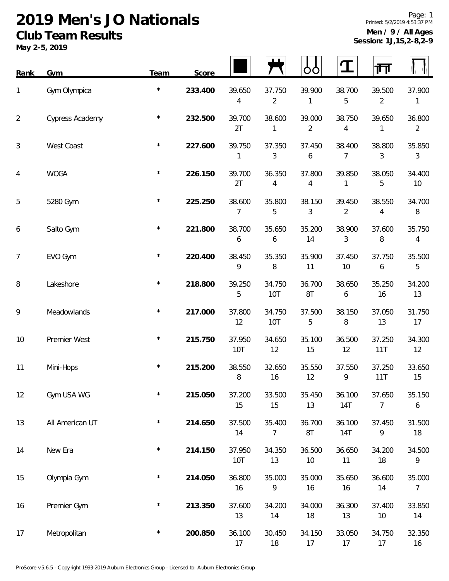## **2019 Men's JO Nationals Club Team Results**

**May 2-5, 2019**

| Rank           | Gym             | Team       | Score   |               |                          |                          |                          | गंग                      |              |
|----------------|-----------------|------------|---------|---------------|--------------------------|--------------------------|--------------------------|--------------------------|--------------|
| 1              | Gym Olympica    | $^{\star}$ | 233.400 | 39.650<br>4   | 37.750<br>$\overline{2}$ | 39.900<br>1              | 38.700<br>5              | 39.500<br>$\overline{2}$ | 37.900<br>1  |
| $\overline{2}$ | Cypress Academy | $\star$    | 232.500 | 39.700<br>2T  | 38.600<br>1              | 39.000<br>$\overline{2}$ | 38.750<br>4              | 39.650<br>1              | 36.800<br>2  |
| 3              | West Coast      | $^\star$   | 227.600 | 39.750<br>1   | 37.350<br>3              | 37.450<br>6              | 38.400<br>7              | 38.800<br>3              | 35.850<br>3  |
| 4              | <b>WOGA</b>     | $^\star$   | 226.150 | 39.700<br>2T  | 36.350<br>4              | 37.800<br>4              | 39.850<br>1              | 38.050<br>5              | 34.400<br>10 |
| 5              | 5280 Gym        | $\star$    | 225.250 | 38.600<br>7   | 35.800<br>5              | 38.150<br>3              | 39.450<br>$\overline{2}$ | 38.550<br>4              | 34.700<br>8  |
| 6              | Salto Gym       | $\star$    | 221.800 | 38.700<br>6   | 35.650<br>6              | 35.200<br>14             | 38.900<br>3              | 37.600<br>8              | 35.750<br>4  |
| $\overline{7}$ | EVO Gym         | $\star$    | 220.400 | 38.450<br>9   | 35.350<br>8              | 35.900<br>11             | 37.450<br>10             | 37.750<br>6              | 35.500<br>5  |
| 8              | Lakeshore       | $\star$    | 218.800 | 39.250<br>5   | 34.750<br>10T            | 36.700<br>8T             | 38.650<br>6              | 35.250<br>16             | 34.200<br>13 |
| 9              | Meadowlands     | $^\star$   | 217.000 | 37.800<br>12  | 34.750<br>10T            | 37.500<br>5              | 38.150<br>8              | 37.050<br>13             | 31.750<br>17 |
| 10             | Premier West    | $\star$    | 215.750 | 37.950<br>10T | 34.650<br>12             | 35.100<br>15             | 36.500<br>12             | 37.250<br>11T            | 34.300<br>12 |
| 11             | Mini-Hops       | $\star$    | 215.200 | 38.550<br>8   | 32.650<br>16             | 35.550<br>12             | 37.550<br>9              | 37.250<br>11T            | 33.650<br>15 |
| 12             | Gym USA WG      | $\star$    | 215.050 | 37.200<br>15  | 33.500<br>15             | 35.450<br>13             | 36.100<br>14T            | 37.650<br>7              | 35.150<br>6  |
| 13             | All American UT | $\star$    | 214.650 | 37.500<br>14  | 35.400<br>7              | 36.700<br>8T             | 36.100<br><b>14T</b>     | 37.450<br>9              | 31.500<br>18 |
| 14             | New Era         | $\star$    | 214.150 | 37.950<br>10T | 34.350<br>13             | 36.500<br>10             | 36.650<br>11             | 34.200<br>18             | 34.500<br>9  |
| 15             | Olympia Gym     | $\star$    | 214.050 | 36.800<br>16  | 35.000<br>9              | 35.000<br>16             | 35.650<br>16             | 36.600<br>14             | 35.000<br>7  |
| 16             | Premier Gym     | $\star$    | 213.350 | 37.600<br>13  | 34.200<br>14             | 34.000<br>18             | 36.300<br>13             | 37.400<br>10             | 33.850<br>14 |
| 17             | Metropolitan    | $\star$    | 200.850 | 36.100<br>17  | 30.450<br>18             | 34.150<br>17             | 33.050<br>17             | 34.750<br>17             | 32.350<br>16 |